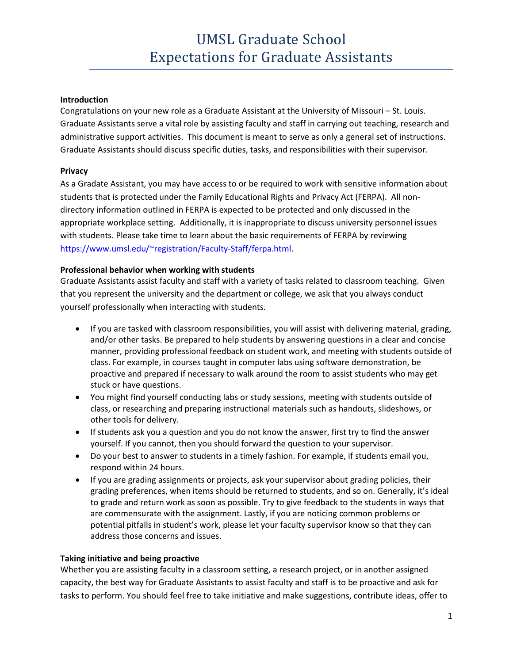# UMSL Graduate School Expectations for Graduate Assistants

#### **Introduction**

Congratulations on your new role as a Graduate Assistant at the University of Missouri – St. Louis. Graduate Assistants serve a vital role by assisting faculty and staff in carrying out teaching, research and administrative support activities. This document is meant to serve as only a general set of instructions. Graduate Assistants should discuss specific duties, tasks, and responsibilities with their supervisor.

#### **Privacy**

As a Gradate Assistant, you may have access to or be required to work with sensitive information about students that is protected under the Family Educational Rights and Privacy Act (FERPA). All nondirectory information outlined in FERPA is expected to be protected and only discussed in the appropriate workplace setting. Additionally, it is inappropriate to discuss university personnel issues with students. Please take time to learn about the basic requirements of FERPA by reviewing [https://www.umsl.edu/~registration/Faculty-Staff/ferpa.html.](https://www.umsl.edu/%7Eregistration/Faculty-Staff/ferpa.html)

#### **Professional behavior when working with students**

Graduate Assistants assist faculty and staff with a variety of tasks related to classroom teaching. Given that you represent the university and the department or college, we ask that you always conduct yourself professionally when interacting with students.

- If you are tasked with classroom responsibilities, you will assist with delivering material, grading, and/or other tasks. Be prepared to help students by answering questions in a clear and concise manner, providing professional feedback on student work, and meeting with students outside of class. For example, in courses taught in computer labs using software demonstration, be proactive and prepared if necessary to walk around the room to assist students who may get stuck or have questions.
- You might find yourself conducting labs or study sessions, meeting with students outside of class, or researching and preparing instructional materials such as handouts, slideshows, or other tools for delivery.
- If students ask you a question and you do not know the answer, first try to find the answer yourself. If you cannot, then you should forward the question to your supervisor.
- Do your best to answer to students in a timely fashion. For example, if students email you, respond within 24 hours.
- If you are grading assignments or projects, ask your supervisor about grading policies, their grading preferences, when items should be returned to students, and so on. Generally, it's ideal to grade and return work as soon as possible. Try to give feedback to the students in ways that are commensurate with the assignment. Lastly, if you are noticing common problems or potential pitfalls in student's work, please let your faculty supervisor know so that they can address those concerns and issues.

#### **Taking initiative and being proactive**

Whether you are assisting faculty in a classroom setting, a research project, or in another assigned capacity, the best way for Graduate Assistants to assist faculty and staff is to be proactive and ask for tasks to perform. You should feel free to take initiative and make suggestions, contribute ideas, offer to